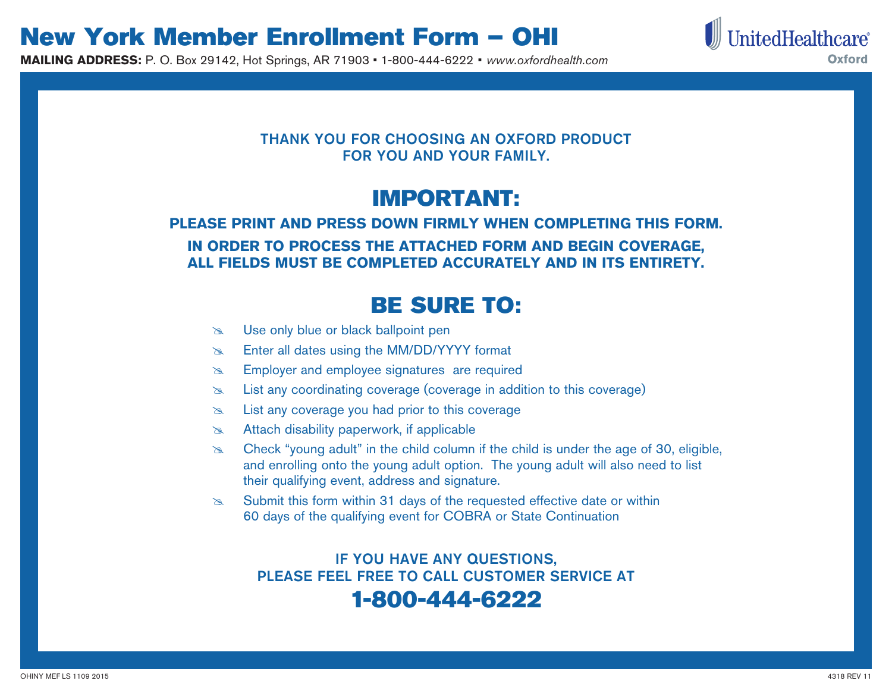**MAILING ADDRESS:** P. O. Box 29142, Hot Springs, AR 71903 • 1-800-444-6222 • *www.oxfordhealth.com* 



#### THANK YOU FOR CHOOSING AN OXFORD PRODUCT FOR YOU AND YOUR FAMILY.

## IMPORTANT:

#### **PLEASE PRINT AND PRESS DOWN FIRMLY WHEN COMPLETING THIS FORM. IN ORDER TO PROCESS THE ATTACHED FORM AND BEGIN COVERAGE, ALL FIELDS MUST BE COMPLETED ACCURATELY AND IN ITS ENTIRETY.**

### BE SURE TO:

- **EX** Use only blue or black ballpoint pen
- **Enter all dates using the MM/DD/YYYY format**
- **Employer and employee signatures are required**
- **Example 20** List any coordinating coverage (coverage in addition to this coverage)
- **Example 20** List any coverage you had prior to this coverage
- **Ex** Attach disability paperwork, if applicable
- $\infty$  Check "young adult" in the child column if the child is under the age of 30, eligible, and enrolling onto the young adult option. The young adult will also need to list their qualifying event, address and signature.
- $\approx$  Submit this form within 31 days of the requested effective date or within 60 days of the qualifying event for COBRA or State Continuation

### IF YOU HAVE ANY QUESTIONS, PLEASE FEEL FREE TO CALL CUSTOMER SERVICE AT

#### 1-800-444-6222